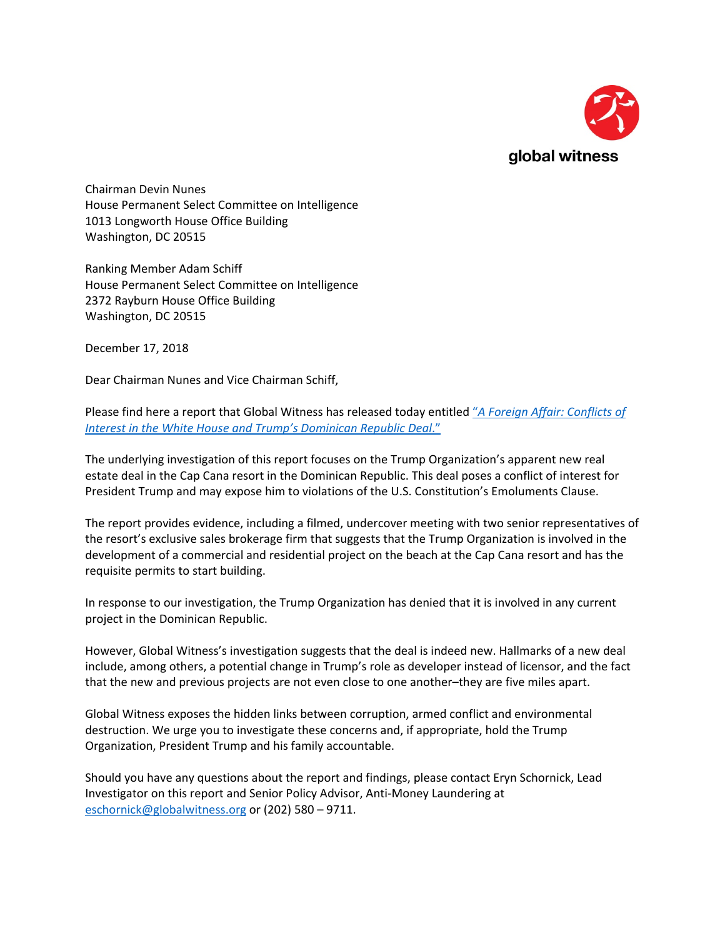

Chairman Devin Nunes House Permanent Select Committee on Intelligence 1013 Longworth House Office Building Washington, DC 20515

Ranking Member Adam Schiff House Permanent Select Committee on Intelligence 2372 Rayburn House Office Building Washington, DC 20515

December 17, 2018

Dear Chairman Nunes and Vice Chairman Schiff,

Please find here a report that Global Witness has released today entitled "*[A Foreign Affair: Conflicts of](https://www.globalwitness.org/en/campaigns/corruption-and-money-laundering/a-foreign-affair-trumps-dominican-republic-deal)  [Interest in the White House and Trump's Dominican Republic Deal](https://www.globalwitness.org/en/campaigns/corruption-and-money-laundering/a-foreign-affair-trumps-dominican-republic-deal)*."

The underlying investigation of this report focuses on the Trump Organization's apparent new real estate deal in the Cap Cana resort in the Dominican Republic. This deal poses a conflict of interest for President Trump and may expose him to violations of the U.S. Constitution's Emoluments Clause.

The report provides evidence, including a filmed, undercover meeting with two senior representatives of the resort's exclusive sales brokerage firm that suggests that the Trump Organization is involved in the development of a commercial and residential project on the beach at the Cap Cana resort and has the requisite permits to start building.

In response to our investigation, the Trump Organization has denied that it is involved in any current project in the Dominican Republic.

However, Global Witness's investigation suggests that the deal is indeed new. Hallmarks of a new deal include, among others, a potential change in Trump's role as developer instead of licensor, and the fact that the new and previous projects are not even close to one another–they are five miles apart.

Global Witness exposes the hidden links between corruption, armed conflict and environmental destruction. We urge you to investigate these concerns and, if appropriate, hold the Trump Organization, President Trump and his family accountable.

Should you have any questions about the report and findings, please contact Eryn Schornick, Lead Investigator on this report and Senior Policy Advisor, Anti-Money Laundering at [eschornick@globalwitness.org](mailto:eschornick@globalwitness.org) or (202) 580 – 9711.